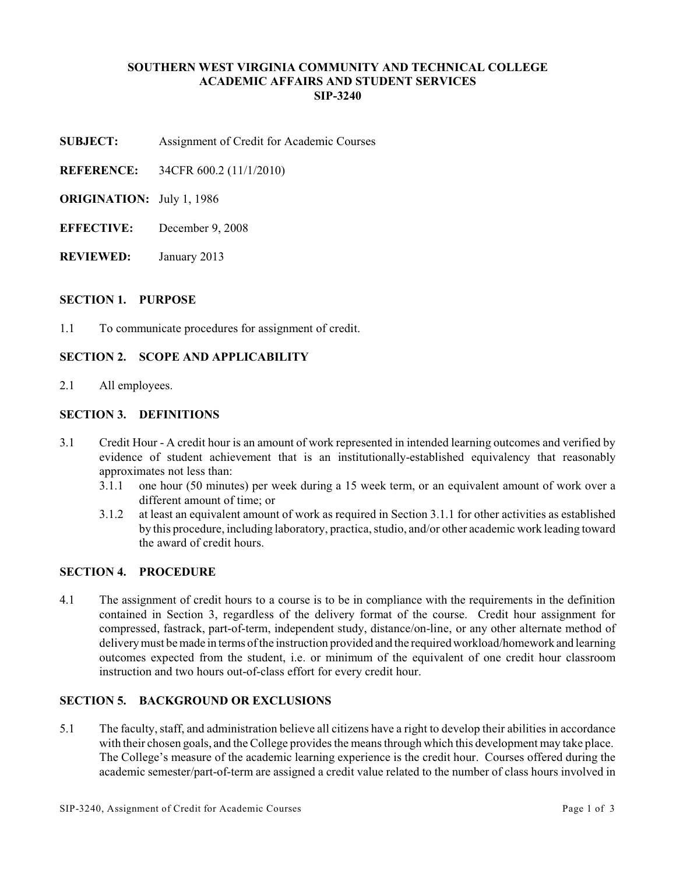### **SOUTHERN WEST VIRGINIA COMMUNITY AND TECHNICAL COLLEGE ACADEMIC AFFAIRS AND STUDENT SERVICES SIP-3240**

- **SUBJECT:** Assignment of Credit for Academic Courses
- **REFERENCE:** 34CFR 600.2 (11/1/2010)
- **ORIGINATION:** July 1, 1986
- **EFFECTIVE:** December 9, 2008
- **REVIEWED:** January 2013

#### **SECTION 1. PURPOSE**

1.1 To communicate procedures for assignment of credit.

#### **SECTION 2. SCOPE AND APPLICABILITY**

2.1 All employees.

#### **SECTION 3. DEFINITIONS**

- 3.1 Credit Hour A credit hour is an amount of work represented in intended learning outcomes and verified by evidence of student achievement that is an institutionally-established equivalency that reasonably approximates not less than:
	- 3.1.1 one hour (50 minutes) per week during a 15 week term, or an equivalent amount of work over a different amount of time; or
	- 3.1.2 at least an equivalent amount of work as required in Section 3.1.1 for other activities as established by this procedure, including laboratory, practica, studio, and/or other academic work leading toward the award of credit hours.

# **SECTION 4. PROCEDURE**

4.1 The assignment of credit hours to a course is to be in compliance with the requirements in the definition contained in Section 3, regardless of the delivery format of the course. Credit hour assignment for compressed, fastrack, part-of-term, independent study, distance/on-line, or any other alternate method of delivery must be made in terms of the instruction provided and the required workload/homework and learning outcomes expected from the student, i.e. or minimum of the equivalent of one credit hour classroom instruction and two hours out-of-class effort for every credit hour.

## **SECTION 5. BACKGROUND OR EXCLUSIONS**

5.1 The faculty, staff, and administration believe all citizens have a right to develop their abilities in accordance with their chosen goals, and the College provides the means through which this development may take place. The College's measure of the academic learning experience is the credit hour. Courses offered during the academic semester/part-of-term are assigned a credit value related to the number of class hours involved in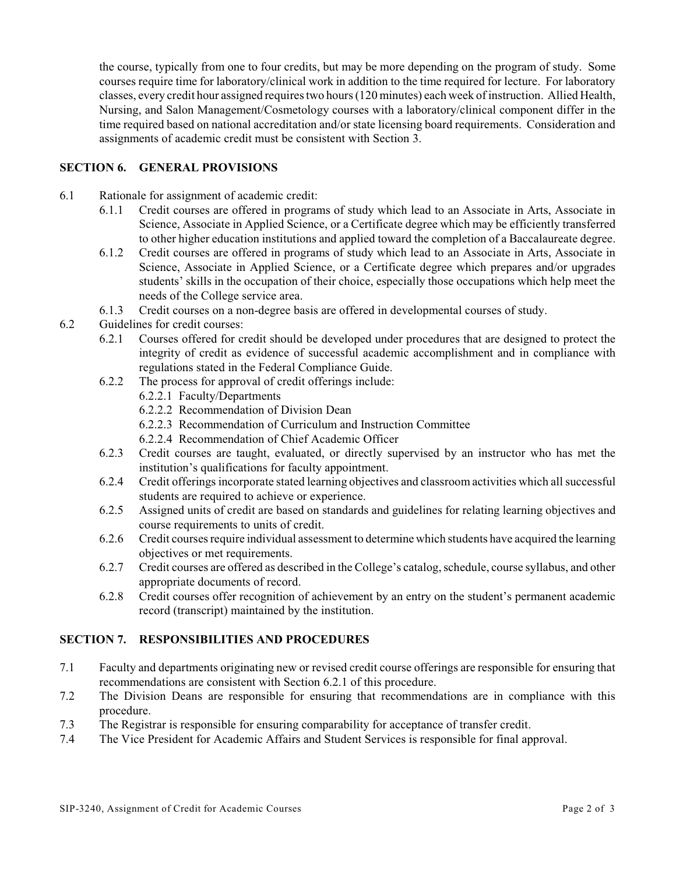the course, typically from one to four credits, but may be more depending on the program of study. Some courses require time for laboratory/clinical work in addition to the time required for lecture. For laboratory classes, every credit hour assigned requires two hours (120 minutes) each week of instruction. Allied Health, Nursing, and Salon Management/Cosmetology courses with a laboratory/clinical component differ in the time required based on national accreditation and/or state licensing board requirements. Consideration and assignments of academic credit must be consistent with Section 3.

# **SECTION 6. GENERAL PROVISIONS**

- 6.1 Rationale for assignment of academic credit:
	- 6.1.1 Credit courses are offered in programs of study which lead to an Associate in Arts, Associate in Science, Associate in Applied Science, or a Certificate degree which may be efficiently transferred to other higher education institutions and applied toward the completion of a Baccalaureate degree.
	- 6.1.2 Credit courses are offered in programs of study which lead to an Associate in Arts, Associate in Science, Associate in Applied Science, or a Certificate degree which prepares and/or upgrades students' skills in the occupation of their choice, especially those occupations which help meet the needs of the College service area.
	- 6.1.3 Credit courses on a non-degree basis are offered in developmental courses of study.
- 6.2 Guidelines for credit courses:
	- 6.2.1 Courses offered for credit should be developed under procedures that are designed to protect the integrity of credit as evidence of successful academic accomplishment and in compliance with regulations stated in the Federal Compliance Guide.
	- 6.2.2 The process for approval of credit offerings include:
		- 6.2.2.1 Faculty/Departments
		- 6.2.2.2 Recommendation of Division Dean
		- 6.2.2.3 Recommendation of Curriculum and Instruction Committee
		- 6.2.2.4 Recommendation of Chief Academic Officer
	- 6.2.3 Credit courses are taught, evaluated, or directly supervised by an instructor who has met the institution's qualifications for faculty appointment.
	- 6.2.4 Credit offerings incorporate stated learning objectives and classroom activities which all successful students are required to achieve or experience.
	- 6.2.5 Assigned units of credit are based on standards and guidelines for relating learning objectives and course requirements to units of credit.
	- 6.2.6 Credit courses require individual assessment to determine which students have acquired the learning objectives or met requirements.
	- 6.2.7 Credit courses are offered as described in the College's catalog, schedule, course syllabus, and other appropriate documents of record.
	- 6.2.8 Credit courses offer recognition of achievement by an entry on the student's permanent academic record (transcript) maintained by the institution.

### **SECTION 7. RESPONSIBILITIES AND PROCEDURES**

- 7.1 Faculty and departments originating new or revised credit course offerings are responsible for ensuring that recommendations are consistent with Section 6.2.1 of this procedure.
- 7.2 The Division Deans are responsible for ensuring that recommendations are in compliance with this procedure.
- 7.3 The Registrar is responsible for ensuring comparability for acceptance of transfer credit.
- 7.4 The Vice President for Academic Affairs and Student Services is responsible for final approval.